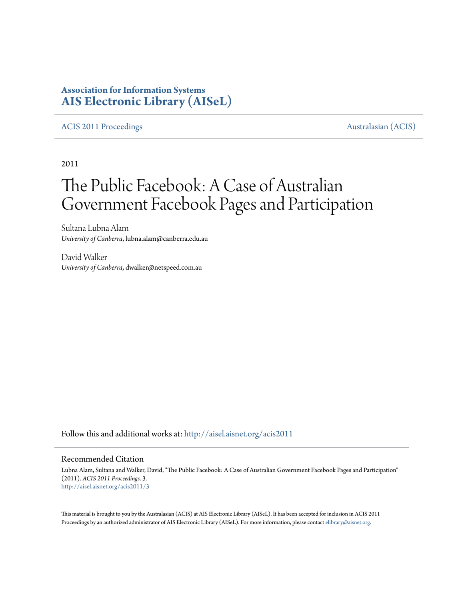# **Association for Information Systems [AIS Electronic Library \(AISeL\)](http://aisel.aisnet.org?utm_source=aisel.aisnet.org%2Facis2011%2F3&utm_medium=PDF&utm_campaign=PDFCoverPages)**

# [ACIS 2011 Proceedings](http://aisel.aisnet.org/acis2011?utm_source=aisel.aisnet.org%2Facis2011%2F3&utm_medium=PDF&utm_campaign=PDFCoverPages) **Australasian** (ACIS)

2011

# The Public Facebook: A Case of Australian Government Facebook Pages and Participation

Sultana Lubna Alam *University of Canberra*, lubna.alam@canberra.edu.au

David Walker *University of Canberra*, dwalker@netspeed.com.au

Follow this and additional works at: [http://aisel.aisnet.org/acis2011](http://aisel.aisnet.org/acis2011?utm_source=aisel.aisnet.org%2Facis2011%2F3&utm_medium=PDF&utm_campaign=PDFCoverPages)

#### Recommended Citation

Lubna Alam, Sultana and Walker, David, "The Public Facebook: A Case of Australian Government Facebook Pages and Participation" (2011). *ACIS 2011 Proceedings*. 3. [http://aisel.aisnet.org/acis2011/3](http://aisel.aisnet.org/acis2011/3?utm_source=aisel.aisnet.org%2Facis2011%2F3&utm_medium=PDF&utm_campaign=PDFCoverPages)

This material is brought to you by the Australasian (ACIS) at AIS Electronic Library (AISeL). It has been accepted for inclusion in ACIS 2011 Proceedings by an authorized administrator of AIS Electronic Library (AISeL). For more information, please contact [elibrary@aisnet.org](mailto:elibrary@aisnet.org%3E).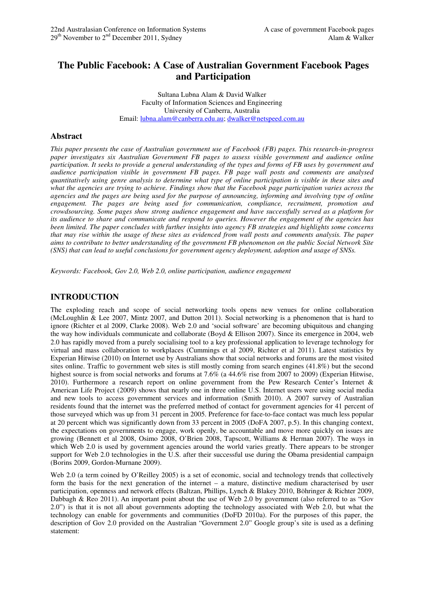# **The Public Facebook: A Case of Australian Government Facebook Pages and Participation**

Sultana Lubna Alam & David Walker Faculty of Information Sciences and Engineering University of Canberra, Australia Email: lubna.alam@canberra.edu.au; dwalker@netspeed.com.au

# **Abstract**

*This paper presents the case of Australian government use of Facebook (FB) pages. This research-in-progress paper investigates six Australian Government FB pages to assess visible government and audience online participation. It seeks to provide a general understanding of the types and forms of FB uses by government and audience participation visible in government FB pages. FB page wall posts and comments are analysed quantitatively using genre analysis to determine what type of online participation is visible in these sites and what the agencies are trying to achieve. Findings show that the Facebook page participation varies across the agencies and the pages are being used for the purpose of announcing, informing and involving type of online engagement. The pages are being used for communication, compliance, recruitment, promotion and crowdsourcing. Some pages show strong audience engagement and have successfully served as a platform for its audience to share and communicate and respond to queries. However the engagement of the agencies has been limited. The paper concludes with further insights into agency FB strategies and highlights some concerns that may rise within the usage of these sites as evidenced from wall posts and comments analysis. The paper aims to contribute to better understanding of the government FB phenomenon on the public Social Network Site (SNS) that can lead to useful conclusions for government agency deployment, adoption and usage of SNSs.* 

*Keywords: Facebook, Gov 2.0, Web 2.0, online participation, audience engagement* 

# **INTRODUCTION**

The exploding reach and scope of social networking tools opens new venues for online collaboration (McLoughlin & Lee 2007, Mintz 2007, and Dutton 2011). Social networking is a phenomenon that is hard to ignore (Richter et al 2009, Clarke 2008). Web 2.0 and 'social software' are becoming ubiquitous and changing the way how individuals communicate and collaborate (Boyd & Ellison 2007). Since its emergence in 2004, web 2.0 has rapidly moved from a purely socialising tool to a key professional application to leverage technology for virtual and mass collaboration to workplaces (Cummings et al 2009, Richter et al 2011). Latest statistics by Experian Hitwise (2010) on Internet use by Australians show that social networks and forums are the most visited sites online. Traffic to government web sites is still mostly coming from search engines (41.8%) but the second highest source is from social networks and forums at 7.6% (a 44.6% rise from 2007 to 2009) (Experian Hitwise, 2010). Furthermore a research report on online government from the Pew Research Center's Internet & American Life Project (2009) shows that nearly one in three online U.S. Internet users were using social media and new tools to access government services and information (Smith 2010). A 2007 survey of Australian residents found that the internet was the preferred method of contact for government agencies for 41 percent of those surveyed which was up from 31 percent in 2005. Preference for face-to-face contact was much less popular at 20 percent which was significantly down from 33 percent in 2005 (DoFA 2007, p.5). In this changing context, the expectations on governments to engage, work openly, be accountable and move more quickly on issues are growing (Bennett et al 2008, Osimo 2008, O'Brien 2008, Tapscott, Williams & Herman 2007). The ways in which Web 2.0 is used by government agencies around the world varies greatly. There appears to be stronger support for Web 2.0 technologies in the U.S. after their successful use during the Obama presidential campaign (Borins 2009, Gordon-Murnane 2009).

Web 2.0 (a term coined by O'Reilley 2005) is a set of economic, social and technology trends that collectively form the basis for the next generation of the internet – a mature, distinctive medium characterised by user participation, openness and network effects (Baltzan, Phillips, Lynch & Blakey 2010, Böhringer & Richter 2009, Dabbagh & Reo 2011). An important point about the use of Web 2.0 by government (also referred to as "Gov 2.0") is that it is not all about governments adopting the technology associated with Web 2.0, but what the technology can enable for governments and communities (DoFD 2010a). For the purposes of this paper, the description of Gov 2.0 provided on the Australian "Government 2.0" Google group's site is used as a defining statement: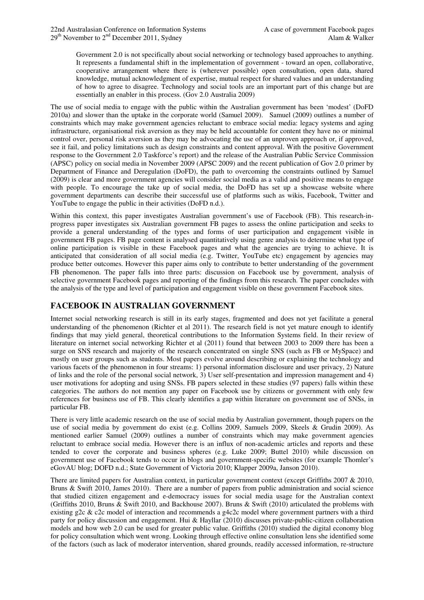Government 2.0 is not specifically about social networking or technology based approaches to anything. It represents a fundamental shift in the implementation of government - toward an open, collaborative, cooperative arrangement where there is (wherever possible) open consultation, open data, shared knowledge, mutual acknowledgment of expertise, mutual respect for shared values and an understanding of how to agree to disagree. Technology and social tools are an important part of this change but are essentially an enabler in this process. (Gov 2.0 Australia 2009)

The use of social media to engage with the public within the Australian government has been 'modest' (DoFD 2010a) and slower than the uptake in the corporate world (Samuel 2009). Samuel (2009) outlines a number of constraints which may make government agencies reluctant to embrace social media: legacy systems and aging infrastructure, organisational risk aversion as they may be held accountable for content they have no or minimal control over, personal risk aversion as they may be advocating the use of an unproven approach or, if approved, see it fail, and policy limitations such as design constraints and content approval. With the positive Government response to the Government 2.0 Taskforce's report) and the release of the Australian Public Service Commission (APSC) policy on social media in November 2009 (APSC 2009) and the recent publication of Gov 2.0 primer by Department of Finance and Deregulation (DoFD), the path to overcoming the constraints outlined by Samuel (2009) is clear and more government agencies will consider social media as a valid and positive means to engage with people. To encourage the take up of social media, the DoFD has set up a showcase website where government departments can describe their successful use of platforms such as wikis, Facebook, Twitter and YouTube to engage the public in their activities (DoFD n.d.).

Within this context, this paper investigates Australian government's use of Facebook (FB). This research-inprogress paper investigates six Australian government FB pages to assess the online participation and seeks to provide a general understanding of the types and forms of user participation and engagement visible in government FB pages. FB page content is analysed quantitatively using genre analysis to determine what type of online participation is visible in these Facebook pages and what the agencies are trying to achieve. It is anticipated that consideration of all social media (e.g. Twitter, YouTube etc) engagement by agencies may produce better outcomes. However this paper aims only to contribute to better understanding of the government FB phenomenon. The paper falls into three parts: discussion on Facebook use by government, analysis of selective government Facebook pages and reporting of the findings from this research. The paper concludes with the analysis of the type and level of participation and engagement visible on these government Facebook sites.

# **FACEBOOK IN AUSTRALIAN GOVERNMENT**

Internet social networking research is still in its early stages, fragmented and does not yet facilitate a general understanding of the phenomenon (Richter et al 2011). The research field is not yet mature enough to identify findings that may yield general, theoretical contributions to the Information Systems field. In their review of literature on internet social networking Richter et al (2011) found that between 2003 to 2009 there has been a surge on SNS research and majority of the research concentrated on single SNS (such as FB or MySpace) and mostly on user groups such as students. Most papers evolve around describing or explaining the technology and various facets of the phenomenon in four streams: 1) personal information disclosure and user privacy, 2) Nature of links and the role of the personal social network, 3) User self-presentation and impression management and 4) user motivations for adopting and using SNSs. FB papers selected in these studies (97 papers) falls within these categories. The authors do not mention any paper on Facebook use by citizens or government with only few references for business use of FB. This clearly identifies a gap within literature on government use of SNSs, in particular FB.

There is very little academic research on the use of social media by Australian government, though papers on the use of social media by government do exist (e.g. Collins 2009, Samuels 2009, Skeels & Grudin 2009). As mentioned earlier Samuel (2009) outlines a number of constraints which may make government agencies reluctant to embrace social media. However there is an influx of non-academic articles and reports and these tended to cover the corporate and business spheres (e.g. Luke 2009; Buttel 2010) while discussion on government use of Facebook tends to occur in blogs and government-specific websites (for example Thomler's eGovAU blog; DOFD n.d.; State Government of Victoria 2010; Klapper 2009a, Janson 2010).

There are limited papers for Australian context, in particular government context (except Griffiths 2007 & 2010, Bruns & Swift 2010, James 2010). There are a number of papers from public administration and social science that studied citizen engagement and e-democracy issues for social media usage for the Australian context (Griffiths 2010, Bruns & Swift 2010, and Backhouse 2007). Bruns & Swift (2010) articulated the problems with existing g2c & c2c model of interaction and recommends a g4c2c model where government partners with a third party for policy discussion and engagement. Hui & Hayllar (2010) discusses private-public-citizen collaboration models and how web 2.0 can be used for greater public value. Griffiths (2010) studied the digital economy blog for policy consultation which went wrong. Looking through effective online consultation lens she identified some of the factors (such as lack of moderator intervention, shared grounds, readily accessed information, re-structure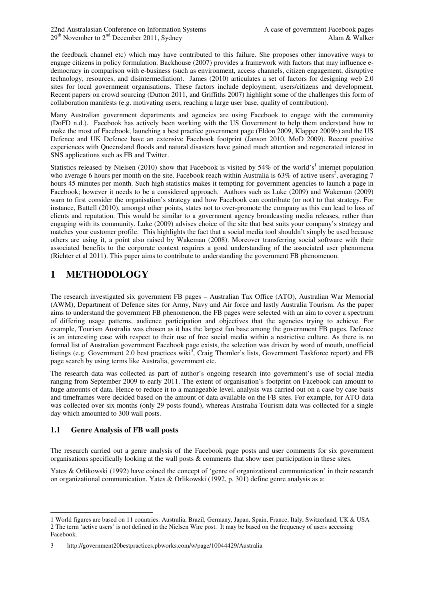the feedback channel etc) which may have contributed to this failure. She proposes other innovative ways to engage citizens in policy formulation. Backhouse (2007) provides a framework with factors that may influence edemocracy in comparison with e-business (such as environment, access channels, citizen engagement, disruptive technology, resources, and disintermediation). James (2010) articulates a set of factors for designing web 2.0 sites for local government organisations. These factors include deployment, users/citizens and development. Recent papers on crowd sourcing (Dutton 2011, and Griffiths 2007) highlight some of the challenges this form of collaboration manifests (e.g. motivating users, reaching a large user base, quality of contribution).

Many Australian government departments and agencies are using Facebook to engage with the community (DoFD n.d.). Facebook has actively been working with the US Government to help them understand how to make the most of Facebook, launching a best practice government page (Eldon 2009, Klapper 2009b) and the US Defence and UK Defence have an extensive Facebook footprint (Janson 2010, MoD 2009). Recent positive experiences with Queensland floods and natural disasters have gained much attention and regenerated interest in SNS applications such as FB and Twitter.

Statistics released by Nielsen (2010) show that Facebook is visited by 54% of the world's<sup>1</sup> internet population who average 6 hours per month on the site. Facebook reach within Australia is  $63\%$  of active users<sup>2</sup>, averaging 7 hours 45 minutes per month. Such high statistics makes it tempting for government agencies to launch a page in Facebook; however it needs to be a considered approach. Authors such as Luke (2009) and Wakeman (2009) warn to first consider the organisation's strategy and how Facebook can contribute (or not) to that strategy. For instance, Buttell (2010), amongst other points, states not to over-promote the company as this can lead to loss of clients and reputation. This would be similar to a government agency broadcasting media releases, rather than engaging with its community. Luke (2009) advises choice of the site that best suits your company's strategy and matches your customer profile. This highlights the fact that a social media tool shouldn't simply be used because others are using it, a point also raised by Wakeman (2008). Moreover transferring social software with their associated benefits to the corporate context requires a good understanding of the associated user phenomena (Richter et al 2011). This paper aims to contribute to understanding the government FB phenomenon.

# **1 METHODOLOGY**

The research investigated six government FB pages – Australian Tax Office (ATO), Australian War Memorial (AWM), Department of Defence sites for Army, Navy and Air force and lastly Australia Tourism. As the paper aims to understand the government FB phenomenon, the FB pages were selected with an aim to cover a spectrum of differing usage patterns, audience participation and objectives that the agencies trying to achieve. For example, Tourism Australia was chosen as it has the largest fan base among the government FB pages. Defence is an interesting case with respect to their use of free social media within a restrictive culture. As there is no formal list of Australian government Facebook page exists, the selection was driven by word of mouth, unofficial listings (e.g. Government 2.0 best practices wiki<sup>3</sup>, Craig Thomler's lists, Government Taskforce report) and FB page search by using terms like Australia, government etc.

The research data was collected as part of author's ongoing research into government's use of social media ranging from September 2009 to early 2011. The extent of organisation's footprint on Facebook can amount to huge amounts of data. Hence to reduce it to a manageable level, analysis was carried out on a case by case basis and timeframes were decided based on the amount of data available on the FB sites. For example, for ATO data was collected over six months (only 29 posts found), whereas Australia Tourism data was collected for a single day which amounted to 300 wall posts.

# **1.1 Genre Analysis of FB wall posts**

 $\overline{a}$ 

The research carried out a genre analysis of the Facebook page posts and user comments for six government organisations specifically looking at the wall posts & comments that show user participation in these sites.

Yates & Orlikowski (1992) have coined the concept of 'genre of organizational communication' in their research on organizational communication. Yates & Orlikowski (1992, p. 301) define genre analysis as a:

<sup>1</sup> World figures are based on 11 countries: Australia, Brazil, Germany, Japan, Spain, France, Italy, Switzerland, UK & USA 2 The term 'active users' is not defined in the Nielsen Wire post. It may be based on the frequency of users accessing Facebook.

<sup>3</sup> http://government20bestpractices.pbworks.com/w/page/10044429/Australia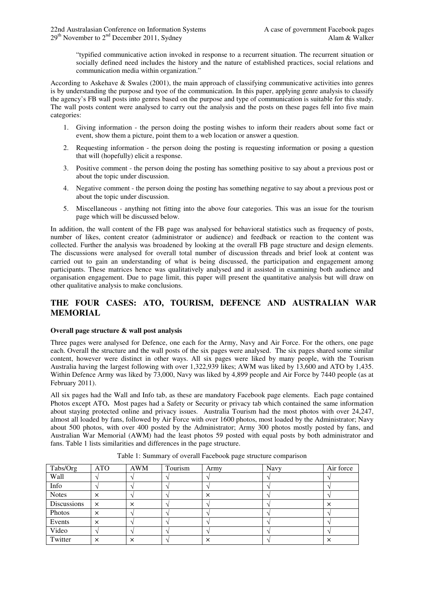"typified communicative action invoked in response to a recurrent situation. The recurrent situation or socially defined need includes the history and the nature of established practices, social relations and communication media within organization."

According to Askehave & Swales (2001), the main approach of classifying communicative activities into genres is by understanding the purpose and tyoe of the communication. In this paper, applying genre analysis to classify the agency's FB wall posts into genres based on the purpose and type of communication is suitable for this study. The wall posts content were analysed to carry out the analysis and the posts on these pages fell into five main categories:

- 1. Giving information the person doing the posting wishes to inform their readers about some fact or event, show them a picture, point them to a web location or answer a question.
- 2. Requesting information the person doing the posting is requesting information or posing a question that will (hopefully) elicit a response.
- 3. Positive comment the person doing the posting has something positive to say about a previous post or about the topic under discussion.
- 4. Negative comment the person doing the posting has something negative to say about a previous post or about the topic under discussion.
- 5. Miscellaneous anything not fitting into the above four categories. This was an issue for the tourism page which will be discussed below.

In addition, the wall content of the FB page was analysed for behavioral statistics such as frequency of posts, number of likes, content creator (administrator or audience) and feedback or reaction to the content was collected. Further the analysis was broadened by looking at the overall FB page structure and design elements. The discussions were analysed for overall total number of discussion threads and brief look at content was carried out to gain an understanding of what is being discussed, the participation and engagement among participants. These matrices hence was qualitatively analysed and it assisted in examining both audience and organisation engagement. Due to page limit, this paper will present the quantitative analysis but will draw on other qualitative analysis to make conclusions.

# **THE FOUR CASES: ATO, TOURISM, DEFENCE AND AUSTRALIAN WAR MEMORIAL**

#### **Overall page structure & wall post analysis**

Three pages were analysed for Defence, one each for the Army, Navy and Air Force. For the others, one page each. Overall the structure and the wall posts of the six pages were analysed. The six pages shared some similar content, however were distinct in other ways. All six pages were liked by many people, with the Tourism Australia having the largest following with over 1,322,939 likes; AWM was liked by 13,600 and ATO by 1,435. Within Defence Army was liked by 73,000, Navy was liked by 4,899 people and Air Force by 7440 people (as at February 2011).

All six pages had the Wall and Info tab, as these are mandatory Facebook page elements. Each page contained Photos except ATO**.** Most pages had a Safety or Security or privacy tab which contained the same information about staying protected online and privacy issues. Australia Tourism had the most photos with over 24,247, almost all loaded by fans, followed by Air Force with over 1600 photos, most loaded by the Administrator; Navy about 500 photos, with over 400 posted by the Administrator; Army 300 photos mostly posted by fans, and Australian War Memorial (AWM) had the least photos 59 posted with equal posts by both administrator and fans. Table 1 lists similarities and differences in the page structure.

| Tabs/Org     | <b>ATO</b> | <b>AWM</b> | Tourism | Army     | Navy | Air force |
|--------------|------------|------------|---------|----------|------|-----------|
| Wall         |            |            |         |          |      |           |
| Info         |            |            |         |          |      |           |
| <b>Notes</b> | $\times$   |            |         | $\times$ |      |           |
| Discussions  | $\times$   | $\times$   |         |          |      | X         |
| Photos       | $\times$   |            |         |          |      |           |
| Events       | ×          |            |         |          |      |           |
| Video        |            |            |         |          |      |           |
| Twitter      | ×          | $\times$   |         | ×        |      | ×         |

Table 1: Summary of overall Facebook page structure comparison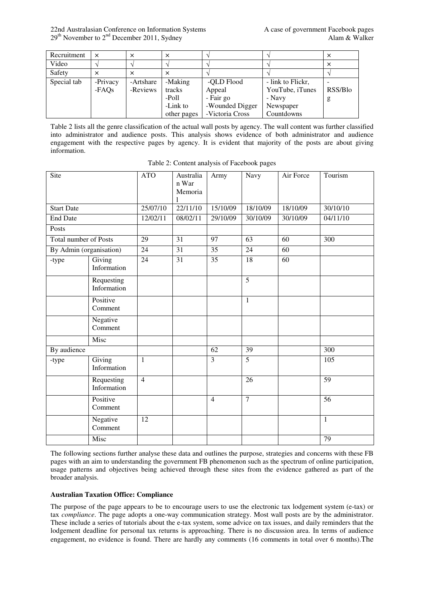22nd Australasian Conference on Information Systems A case of government Facebook pages  $29<sup>th</sup>$  November to  $2<sup>nd</sup>$  December 2011, Sydney Alam & Walker

| Recruitment | $\times$ | $\times$  | ×           |                 |                   | $\times$ |
|-------------|----------|-----------|-------------|-----------------|-------------------|----------|
| Video       |          |           |             |                 |                   | $\times$ |
| Safety      | ×        | $\times$  |             |                 |                   |          |
| Special tab | -Privacy | -Artshare | -Making     | -QLD Flood      | - link to Flickr, |          |
|             | -FAOs    | -Reviews  | tracks      | Appeal          | YouTube, iTunes   | RSS/Blo  |
|             |          |           | -Poll       | - Fair go       | - Navy            | g        |
|             |          |           | -Link to    | -Wounded Digger | Newspaper         |          |
|             |          |           | other pages | -Victoria Cross | Countdowns        |          |

Table 2 lists all the genre classification of the actual wall posts by agency. The wall content was further classified into administrator and audience posts. This analysis shows evidence of both administrator and audience engagement with the respective pages by agency. It is evident that majority of the posts are about giving information.

| Site                         |                           | <b>ATO</b>     | Australia<br>n War<br>Memoria | Army                    | Navy            | Air Force | Tourism         |
|------------------------------|---------------------------|----------------|-------------------------------|-------------------------|-----------------|-----------|-----------------|
| <b>Start Date</b>            |                           | 25/07/10       | $\overline{22/11/10}$         | 15/10/09                | 18/10/09        | 18/10/09  | 30/10/10        |
| <b>End Date</b>              |                           | 12/02/11       | 08/02/11                      | 29/10/09                | 30/10/09        | 30/10/09  | 04/11/10        |
| Posts                        |                           |                |                               |                         |                 |           |                 |
| <b>Total number of Posts</b> |                           | 29             | 31                            | 97                      | 63              | 60        | 300             |
| By Admin (organisation)      |                           | 24             | 31                            | 35                      | 24              | 60        |                 |
| -type                        | Giving<br>Information     | 24             | 31                            | 35                      | 18              | 60        |                 |
|                              | Requesting<br>Information |                |                               |                         | $\overline{5}$  |           |                 |
|                              | Positive<br>Comment       |                |                               |                         | $\mathbf{1}$    |           |                 |
|                              | Negative<br>Comment       |                |                               |                         |                 |           |                 |
|                              | Misc                      |                |                               |                         |                 |           |                 |
| By audience                  |                           |                |                               | 62                      | 39              |           | 300             |
| -type                        | Giving<br>Information     | $\mathbf{1}$   |                               | $\overline{\mathbf{3}}$ | $\overline{5}$  |           | 105             |
|                              | Requesting<br>Information | $\overline{4}$ |                               |                         | $\overline{26}$ |           | $\overline{59}$ |
|                              | Positive<br>Comment       |                |                               | $\overline{4}$          | $\overline{7}$  |           | $\overline{56}$ |
|                              | Negative<br>Comment       | 12             |                               |                         |                 |           | $\mathbf{1}$    |
|                              | Misc                      |                |                               |                         |                 |           | 79              |

Table 2: Content analysis of Facebook pages

The following sections further analyse these data and outlines the purpose, strategies and concerns with these FB pages with an aim to understanding the government FB phenomenon such as the spectrum of online participation, usage patterns and objectives being achieved through these sites from the evidence gathered as part of the broader analysis.

#### **Australian Taxation Office: Compliance**

The purpose of the page appears to be to encourage users to use the electronic tax lodgement system (e-tax) or tax *compliance*. The page adopts a one-way communication strategy. Most wall posts are by the administrator. These include a series of tutorials about the e-tax system, some advice on tax issues, and daily reminders that the lodgement deadline for personal tax returns is approaching. There is no discussion area. In terms of audience engagement, no evidence is found. There are hardly any comments (16 comments in total over 6 months).The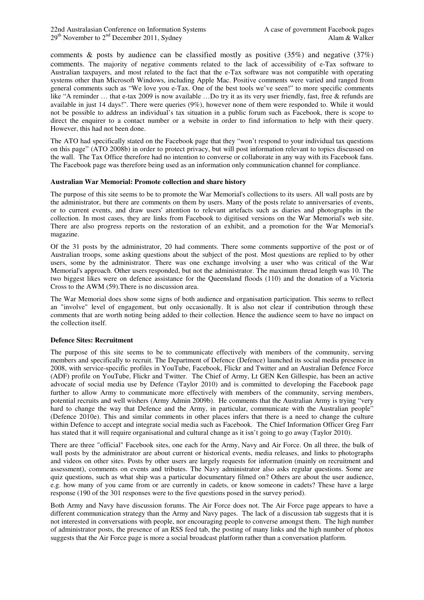22nd Australasian Conference on Information Systems A case of government Facebook pages  $29<sup>th</sup>$  November to  $2<sup>nd</sup>$  December 2011, Sydney Alam & Walker

comments & posts by audience can be classified mostly as positive  $(35%)$  and negative  $(37%)$ comments. The majority of negative comments related to the lack of accessibility of e-Tax software to Australian taxpayers, and most related to the fact that the e-Tax software was not compatible with operating systems other than Microsoft Windows, including Apple Mac. Positive comments were varied and ranged from general comments such as "We love you e-Tax. One of the best tools we've seen!" to more specific comments like "A reminder … that e-tax 2009 is now available …Do try it as its very user friendly, fast, free & refunds are available in just 14 days!". There were queries (9%), however none of them were responded to. While it would not be possible to address an individual's tax situation in a public forum such as Facebook, there is scope to direct the enquirer to a contact number or a website in order to find information to help with their query. However, this had not been done.

The ATO had specifically stated on the Facebook page that they "won't respond to your individual tax questions on this page" (ATO 2008b) in order to protect privacy, but will post information relevant to topics discussed on the wall. The Tax Office therefore had no intention to converse or collaborate in any way with its Facebook fans. The Facebook page was therefore being used as an information only communication channel for compliance.

#### **Australian War Memorial: Promote collection and share history**

The purpose of this site seems to be to promote the War Memorial's collections to its users. All wall posts are by the administrator, but there are comments on them by users. Many of the posts relate to anniversaries of events, or to current events, and draw users' attention to relevant artefacts such as diaries and photographs in the collection. In most cases, they are links from Facebook to digitised versions on the War Memorial's web site. There are also progress reports on the restoration of an exhibit, and a promotion for the War Memorial's magazine.

Of the 31 posts by the administrator, 20 had comments. There some comments supportive of the post or of Australian troops, some asking questions about the subject of the post. Most questions are replied to by other users, some by the administrator. There was one exchange involving a user who was critical of the War Memorial's approach. Other users responded, but not the administrator. The maximum thread length was 10. The two biggest likes were on defence assistance for the Queensland floods (110) and the donation of a Victoria Cross to the AWM (59).There is no discussion area.

The War Memorial does show some signs of both audience and organisation participation. This seems to reflect an "involve" level of engagement, but only occasionally. It is also not clear if contribution through these comments that are worth noting being added to their collection. Hence the audience seem to have no impact on the collection itself.

#### **Defence Sites: Recruitment**

The purpose of this site seems to be to communicate effectively with members of the community, serving members and specifically to recruit. The Department of Defence (Defence) launched its social media presence in 2008, with service-specific profiles in YouTube, Facebook, Flickr and Twitter and an Australian Defence Force (ADF) profile on YouTube, Flickr and Twitter. The Chief of Army, Lt GEN Ken Gillespie, has been an active advocate of social media use by Defence (Taylor 2010) and is committed to developing the Facebook page further to allow Army to communicate more effectively with members of the community, serving members, potential recruits and well wishers (Army Admin 2009b). He comments that the Australian Army is trying "very hard to change the way that Defence and the Army, in particular, communicate with the Australian people" (Defence 2010e). This and similar comments in other places infers that there is a need to change the culture within Defence to accept and integrate social media such as Facebook. The Chief Information Officer Greg Farr has stated that it will require organisational and cultural change as it isn't going to go away (Taylor 2010).

There are three "official" Facebook sites, one each for the Army, Navy and Air Force. On all three, the bulk of wall posts by the administrator are about current or historical events, media releases, and links to photographs and videos on other sites. Posts by other users are largely requests for information (mainly on recruitment and assessment), comments on events and tributes. The Navy administrator also asks regular questions. Some are quiz questions, such as what ship was a particular documentary filmed on? Others are about the user audience, e.g. how many of you came from or are currently in cadets, or know someone in cadets? These have a large response (190 of the 301 responses were to the five questions posed in the survey period).

Both Army and Navy have discussion forums. The Air Force does not. The Air Force page appears to have a different communication strategy than the Army and Navy pages. The lack of a discussion tab suggests that it is not interested in conversations with people, nor encouraging people to converse amongst them. The high number of administrator posts, the presence of an RSS feed tab, the posting of many links and the high number of photos suggests that the Air Force page is more a social broadcast platform rather than a conversation platform.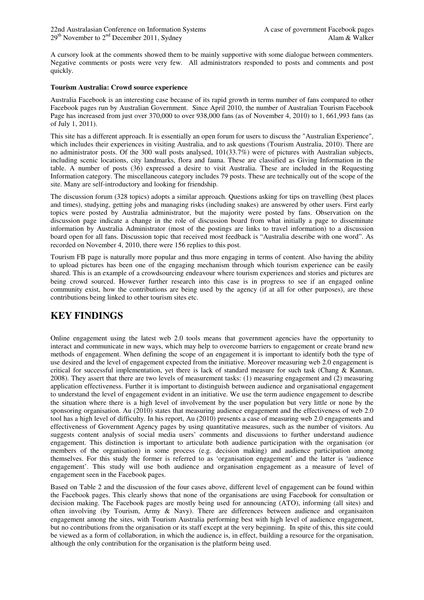A cursory look at the comments showed them to be mainly supportive with some dialogue between commenters. Negative comments or posts were very few. All administrators responded to posts and comments and post quickly.

#### **Tourism Australia: Crowd source experience**

Australia Facebook is an interesting case because of its rapid growth in terms number of fans compared to other Facebook pages run by Australian Government. Since April 2010, the number of Australian Tourism Facebook Page has increased from just over 370,000 to over 938,000 fans (as of November 4, 2010) to 1, 661,993 fans (as of July 1, 2011).

This site has a different approach. It is essentially an open forum for users to discuss the "Australian Experience", which includes their experiences in visiting Australia, and to ask questions (Tourism Australia, 2010). There are no administrator posts. Of the 300 wall posts analysed, 101(33.7%) were of pictures with Australian subjects, including scenic locations, city landmarks, flora and fauna. These are classified as Giving Information in the table. A number of posts (36) expressed a desire to visit Australia. These are included in the Requesting Information category. The miscellaneous category includes 79 posts. These are technically out of the scope of the site. Many are self-introductory and looking for friendship.

The discussion forum (328 topics) adopts a similar approach. Questions asking for tips on travelling (best places and times), studying, getting jobs and managing risks (including snakes) are answered by other users. First early topics were posted by Australia administrator, but the majority were posted by fans. Observation on the discussion page indicate a change in the role of discussion board from what initially a page to disseminate information by Australia Administrator (most of the postings are links to travel information) to a discussion board open for all fans. Discussion topic that received most feedback is "Australia describe with one word". As recorded on November 4, 2010, there were 156 replies to this post.

Tourism FB page is naturally more popular and thus more engaging in terms of content. Also having the ability to upload pictures has been one of the engaging mechanism through which tourism experience can be easily shared. This is an example of a crowdsourcing endeavour where tourism experiences and stories and pictures are being crowd sourced. However further research into this case is in progress to see if an engaged online community exist, how the contributions are being used by the agency (if at all for other purposes), are these contributions being linked to other tourism sites etc.

# **KEY FINDINGS**

Online engagement using the latest web 2.0 tools means that government agencies have the opportunity to interact and communicate in new ways, which may help to overcome barriers to engagement or create brand new methods of engagement. When defining the scope of an engagement it is important to identify both the type of use desired and the level of engagement expected from the initiative. Moreover measuring web 2.0 engagement is critical for successful implementation, yet there is lack of standard measure for such task (Chang  $\&$  Kannan, 2008). They assert that there are two levels of measurement tasks: (1) measuring engagement and (2) measuring application effectiveness. Further it is important to distinguish between audience and organisational engagement to understand the level of engagement evident in an initiative. We use the term audience engagement to describe the situation where there is a high level of involvement by the user population but very little or none by the sponsoring organisation. Au (2010) states that measuring audience engagement and the effectiveness of web 2.0 tool has a high level of difficulty. In his report, Au (2010) presents a case of measuring web 2.0 engagements and effectiveness of Government Agency pages by using quantitative measures, such as the number of visitors. Au suggests content analysis of social media users' comments and discussions to further understand audience engagement. This distinction is important to articulate both audience participation with the organisation (or members of the organisation) in some process (e.g. decision making) and audience participation among themselves. For this study the former is referred to as 'organisation engagement' and the latter is 'audience engagement'. This study will use both audience and organisation engagement as a measure of level of engagement seen in the Facebook pages.

Based on Table 2 and the discussion of the four cases above, different level of engagement can be found within the Facebook pages. This clearly shows that none of the organisations are using Facebook for consultation or decision making. The Facebook pages are mostly being used for announcing (ATO), informing (all sites) and often involving (by Tourism, Army & Navy). There are differences between audience and organisaiton engagement among the sites, with Tourism Australia performing best with high level of audience engagement, but no contributions from the organisation or its staff except at the very beginning. In spite of this, this site could be viewed as a form of collaboration, in which the audience is, in effect, building a resource for the organisation, although the only contribution for the organisation is the platform being used.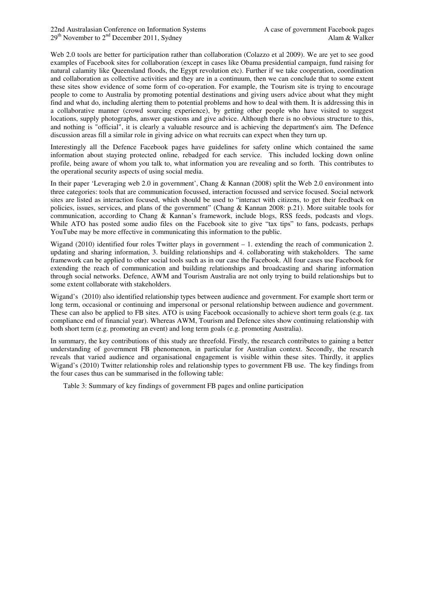Web 2.0 tools are better for participation rather than collaboration (Colazzo et al 2009). We are yet to see good examples of Facebook sites for collaboration (except in cases like Obama presidential campaign, fund raising for natural calamity like Queensland floods, the Egypt revolution etc). Further if we take cooperation, coordination and collaboration as collective activities and they are in a continuum, then we can conclude that to some extent these sites show evidence of some form of co-operation. For example, the Tourism site is trying to encourage people to come to Australia by promoting potential destinations and giving users advice about what they might find and what do, including alerting them to potential problems and how to deal with them. It is addressing this in a collaborative manner (crowd sourcing experience), by getting other people who have visited to suggest locations, supply photographs, answer questions and give advice. Although there is no obvious structure to this, and nothing is "official", it is clearly a valuable resource and is achieving the department's aim. The Defence discussion areas fill a similar role in giving advice on what recruits can expect when they turn up.

Interestingly all the Defence Facebook pages have guidelines for safety online which contained the same information about staying protected online, rebadged for each service. This included locking down online profile, being aware of whom you talk to, what information you are revealing and so forth. This contributes to the operational security aspects of using social media.

In their paper 'Leveraging web 2.0 in government', Chang & Kannan (2008) split the Web 2.0 environment into three categories: tools that are communication focussed, interaction focussed and service focused. Social network sites are listed as interaction focused, which should be used to "interact with citizens, to get their feedback on policies, issues, services, and plans of the government" (Chang & Kannan 2008: p.21). More suitable tools for communication, according to Chang & Kannan's framework, include blogs, RSS feeds, podcasts and vlogs. While ATO has posted some audio files on the Facebook site to give "tax tips" to fans, podcasts, perhaps YouTube may be more effective in communicating this information to the public.

Wigand (2010) identified four roles Twitter plays in government – 1. extending the reach of communication 2. updating and sharing information, 3. building relationships and 4. collaborating with stakeholders. The same framework can be applied to other social tools such as in our case the Facebook. All four cases use Facebook for extending the reach of communication and building relationships and broadcasting and sharing information through social networks. Defence, AWM and Tourism Australia are not only trying to build relationships but to some extent collaborate with stakeholders.

Wigand's (2010) also identified relationship types between audience and government. For example short term or long term, occasional or continuing and impersonal or personal relationship between audience and government. These can also be applied to FB sites. ATO is using Facebook occasionally to achieve short term goals (e.g. tax compliance end of financial year). Whereas AWM, Tourism and Defence sites show continuing relationship with both short term (e.g. promoting an event) and long term goals (e.g. promoting Australia).

In summary, the key contributions of this study are threefold. Firstly, the research contributes to gaining a better understanding of government FB phenomenon, in particular for Australian context. Secondly, the research reveals that varied audience and organisational engagement is visible within these sites. Thirdly, it applies Wigand's (2010) Twitter relationship roles and relationship types to government FB use. The key findings from the four cases thus can be summarised in the following table:

Table 3: Summary of key findings of government FB pages and online participation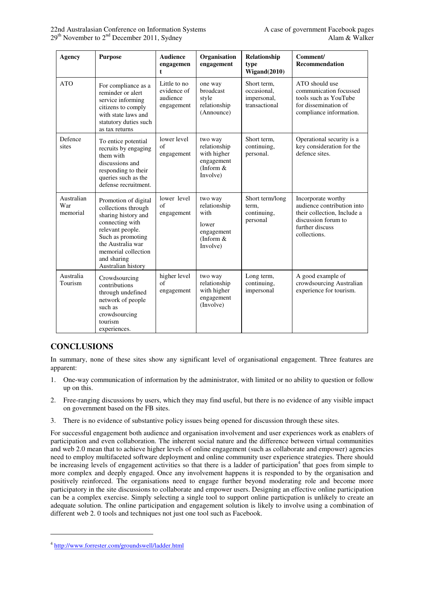| Agency                        | <b>Purpose</b>                                                                                                                                                                                                  | <b>Audience</b><br>engagemen<br>t                     | Organisation<br>engagement                                                        | Relationship<br>type<br>Wigand(2010)                       | Comment/<br><b>Recommendation</b>                                                                                                         |
|-------------------------------|-----------------------------------------------------------------------------------------------------------------------------------------------------------------------------------------------------------------|-------------------------------------------------------|-----------------------------------------------------------------------------------|------------------------------------------------------------|-------------------------------------------------------------------------------------------------------------------------------------------|
| <b>ATO</b>                    | For compliance as a<br>reminder or alert<br>service informing<br>citizens to comply<br>with state laws and<br>statutory duties such<br>as tax returns                                                           | Little to no<br>evidence of<br>audience<br>engagement | one way<br>broadcast<br>style<br>relationship<br>(Announce)                       | Short term,<br>occasional.<br>impersonal,<br>transactional | ATO should use<br>communication focussed<br>tools such as YouTube<br>for dissemination of<br>compliance information.                      |
| Defence<br>sites              | To entice potential<br>recruits by engaging<br>them with<br>discussions and<br>responding to their<br>queries such as the<br>defense recruitment.                                                               | lower level<br>$\sigma$ f<br>engagement               | two way<br>relationship<br>with higher<br>engagement<br>(Inform $&$<br>Involve)   | Short term,<br>continuing,<br>personal.                    | Operational security is a<br>key consideration for the<br>defence sites.                                                                  |
| Australian<br>War<br>memorial | Promotion of digital<br>collections through<br>sharing history and<br>connecting with<br>relevant people.<br>Such as promoting<br>the Australia war<br>memorial collection<br>and sharing<br>Australian history | lower level<br>$\sigma$ f<br>engagement               | two way<br>relationship<br>with<br>lower<br>engagement<br>(Inform $&$<br>Involve) | Short term/long<br>term,<br>continuing,<br>personal        | Incorporate worthy<br>audience contribution into<br>their collection, Include a<br>discussion forum to<br>further discuss<br>collections. |
| Australia<br>Tourism          | Crowdsourcing<br>contributions<br>through undefined<br>network of people<br>such as<br>crowdsourcing<br>tourism<br>experiences.                                                                                 | higher level<br>$\sigma$ f<br>engagement              | two way<br>relationship<br>with higher<br>engagement<br>(Involve)                 | Long term,<br>continuing,<br>impersonal                    | A good example of<br>crowdsourcing Australian<br>experience for tourism.                                                                  |

# **CONCLUSIONS**

 $\overline{a}$ 

In summary, none of these sites show any significant level of organisational engagement. Three features are apparent:

- 1. One-way communication of information by the administrator, with limited or no ability to question or follow up on this.
- 2. Free-ranging discussions by users, which they may find useful, but there is no evidence of any visible impact on government based on the FB sites.
- 3. There is no evidence of substantive policy issues being opened for discussion through these sites.

For successful engagement both audience and organisation involvement and user experiences work as enablers of participation and even collaboration. The inherent social nature and the difference between virtual communities and web 2.0 mean that to achieve higher levels of online engagement (such as collaborate and empower) agencies need to employ multifaceted software deployment and online community user experience strategies. There should be increasing levels of engagement activities so that there is a ladder of participation<sup>4</sup> that goes from simple to more complex and deeply engaged. Once any involvement happens it is responded to by the organisation and positively reinforced. The organisations need to engage further beyond moderating role and become more participatory in the site discussions to collaborate and empower users. Designing an effective online participation can be a complex exercise. Simply selecting a single tool to support online particpation is unlikely to create an adequate solution. The online participation and engagement solution is likely to involve using a combination of different web 2. 0 tools and techniques not just one tool such as Facebook.

<sup>&</sup>lt;sup>4</sup> http://www.forrester.com/groundswell/ladder.html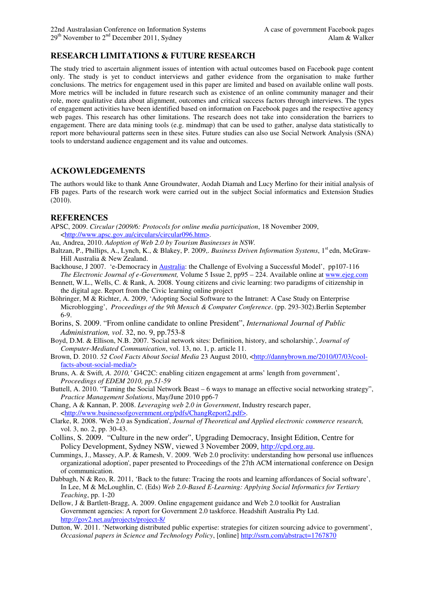# **RESEARCH LIMITATIONS & FUTURE RESEARCH**

The study tried to ascertain alignment issues of intention with actual outcomes based on Facebook page content only. The study is yet to conduct interviews and gather evidence from the organisation to make further conclusions. The metrics for engagement used in this paper are limited and based on available online wall posts. More metrics will be included in future research such as existence of an online community manager and their role, more qualitative data about alignment, outcomes and critical success factors through interviews. The types of engagement activities have been identified based on information on Facebook pages and the respective agency web pages. This research has other limitations. The research does not take into consideration the barriers to engagement. There are data mining tools (e.g. mindmap) that can be used to gather, analyse data statistically to report more behavioural patterns seen in these sites. Future studies can also use Social Network Analysis (SNA) tools to understand audience engagement and its value and outcomes.

# **ACKOWLEDGEMENTS**

The authors would like to thank Anne Groundwater, Aodah Diamah and Lucy Merlino for their initial analysis of FB pages. Parts of the research work were carried out in the subject Social informatics and Extension Studies (2010).

#### **REFERENCES**

- APSC, 2009. *Circular (2009/6: Protocols for online media participation*, 18 November 2009, <http://www.apsc.gov.au/circulars/circular096.htm>.
- Au, Andrea, 2010. *Adoption of Web 2.0 by Tourism Businesses in NSW.*
- Baltzan, P., Phillips, A., Lynch, K., & Blakey, P. 2009,. *Business Driven Information Systems*, 1<sup>st</sup> edn, McGraw-Hill Australia & New Zealand.
- Backhouse, J 2007. 'e-Democracy in Australia: the Challenge of Evolving a Successful Model', pp107-116 *The Electronic Journal of e-Government,* Volume 5 Issue 2, pp95 – 224. Available online at www.ejeg.com
- Bennett, W.L., Wells, C. & Rank, A. 2008. Young citizens and civic learning: two paradigms of citizenship in the digital age. Report from the Civic learning online project
- Böhringer, M & Richter, A. 2009, 'Adopting Social Software to the Intranet: A Case Study on Enterprise Microblogging', *Proceedings of the 9th Mensch & Computer Conference*. (pp. 293-302).Berlin September 6-9.
- Borins, S. 2009. "From online candidate to online President", *International Journal of Public Administration, vol*. 32, no. 9, pp.753-8
- Boyd, D.M. & Ellison, N.B. 2007. 'Social network sites: Definition, history, and scholarship.', *Journal of Computer-Mediated Communication*, vol. 13, no. 1, p. article 11.
- Brown, D. 2010. *52 Cool Facts About Social Media* 23 August 2010, <http://dannybrown.me/2010/07/03/coolfacts-about-social-media/>
- Bruns, A. & Swift*, A. 2010,'* G4C2C: enabling citizen engagement at arms' length from government', *Proceedings of EDEM 2010, pp.51-59*
- Buttell, A. 2010. "Taming the Social Network Beast 6 ways to manage an effective social networking strategy", *Practice Management Solutions*, May/June 2010 pp6-7
- Chang, A & Kannan, P. 2008. *Leveraging web 2.0 in Government*, Industry research paper, <http://www.businessofgovernment.org/pdfs/ChangReport2.pdf>.
- Clarke, R. 2008. 'Web 2.0 as Syndication', *Journal of Theoretical and Applied electronic commerce research,*  vol. 3, no. 2, pp. 30-43.
- Collins, S. 2009. "Culture in the new order", Upgrading Democracy, Insight Edition, Centre for Policy Development, Sydney NSW, viewed 3 November 2009, http://cpd.org.au.
- Cummings, J., Massey, A.P. & Ramesh, V. 2009. 'Web 2.0 proclivity: understanding how personal use influences organizational adoption', paper presented to Proceedings of the 27th ACM international conference on Design of communication.
- Dabbagh, N & Reo, R. 2011, 'Back to the future: Tracing the roots and learning affordances of Social software', In Lee, M & McLoughlin, C. (Eds) *Web 2.0-Based E-Learning: Applying Social Informatics for Tertiary Teaching*, pp. 1-20
- Dellow, J & Bartlett-Bragg, A. 2009. Online engagement guidance and Web 2.0 toolkit for Australian Government agencies: A report for Government 2.0 taskforce. Headshift Australia Pty Ltd. http://gov2.net.au/projects/project-8/
- Dutton, W. 2011. 'Networking distributed public expertise: strategies for citizen sourcing advice to government', *Occasional papers in Science and Technology Policy*, [online] http://ssrn.com/abstract=1767870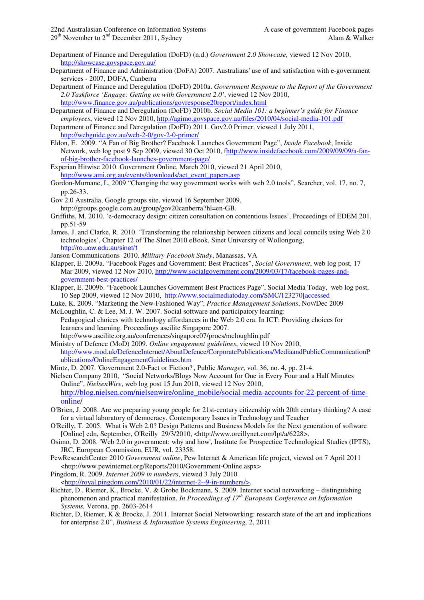- Department of Finance and Deregulation (DoFD) (n.d.) *Government 2.0 Showcase,* viewed 12 Nov 2010, http://showcase.govspace.gov.au/
- Department of Finance and Administration (DoFA) 2007. Australians' use of and satisfaction with e-government services - 2007, DOFA, Canberra
- Department of Finance and Deregulation (DoFD) 2010a. *Government Response to the Report of the Government 2.0 Taskforce 'Engage: Getting on with Government 2.0'*, viewed 12 Nov 2010, http://www.finance.gov.au/publications/govresponse20report/index.html
- Department of Finance and Deregulation (DoFD) 2010b. *Social Media 101: a beginner's guide for Finance employees*, viewed 12 Nov 2010, http://agimo.govspace.gov.au/files/2010/04/social-media-101.pdf
- Department of Finance and Deregulation (DoFD) 2011. Gov2.0 Primer, viewed 1 July 2011, http://webguide.gov.au/web-2-0/gov-2-0-primer/
- Eldon, E. 2009. "A Fan of Big Brother? Facebook Launches Government Page", *Inside Facebook*, Inside Network, web log post 9 Sep 2009, viewed 30 Oct 2010, fhttp://www.insidefacebook.com/2009/09/09/a-fanof-big-brother-facebook-launches-government-page/
- Experian Hitwise 2010. Government Online, March 2010, viewed 21 April 2010, http://www.ami.org.au/events/downloads/act\_event\_papers.asp
- Gordon-Murnane, L, 2009 "Changing the way government works with web 2.0 tools", Searcher, vol. 17, no. 7, pp.26-33.
- Gov 2.0 Australia, Google groups site, viewed 16 September 2009, http://groups.google.com.au/group/gov20canberra?hl=en-GB.
- Griffiths, M. 2010. 'e-democracy design: citizen consultation on contentious Issues', Proceedings of EDEM 201, pp.51-59
- James, J. and Clarke, R. 2010. 'Transforming the relationship between citizens and local councils using Web 2.0 technologies', Chapter 12 of The SInet 2010 eBook, Sinet University of Wollongong, http://ro.uow.edu.au/sinet/1
- Janson Communications 2010. *Military Facebook Study*, Manassas, VA
- Klapper, E. 2009a. "Facebook Pages and Government: Best Practices", *Social Government*, web log post, 17 Mar 2009, viewed 12 Nov 2010, http://www.socialgovernment.com/2009/03/17/facebook-pages-andgovernment-best-practices/
- Klapper, E. 2009b. "Facebook Launches Government Best Practices Page", Social Media Today, web log post, 10 Sep 2009, viewed 12 Nov 2010, http://www.socialmediatoday.com/SMC/123270[accessed
- Luke, K. 2009. "Marketing the New-Fashioned Way", *Practice Management Solutions*, Nov/Dec 2009 McLoughlin, C. & Lee, M. J. W. 2007. Social software and participatory learning:
- Pedagogical choices with technology affordances in the Web 2.0 era. In ICT: Providing choices for learners and learning. Proceedings ascilite Singapore 2007. http://www.ascilite.org.au/conferences/singapore07/procs/mcloughlin.pdf
- Ministry of Defence (MoD) 2009. *Online engagement guidelines*, viewed 10 Nov 2010, http://www.mod.uk/DefenceInternet/AboutDefence/CorporatePublications/MediaandPublicCommunicationP ublications/OnlineEngagementGuidelines.htm
- Mintz, D. 2007. 'Government 2.0-Fact or Fiction?', Public *Manager*, vol. 36, no. 4, pp. 21-4.
- Nielsen Company 2010, "Social Networks/Blogs Now Account for One in Every Four and a Half Minutes Online", *NielsenWire*, web log post 15 Jun 2010, viewed 12 Nov 2010, http://blog.nielsen.com/nielsenwire/online\_mobile/social-media-accounts-for-22-percent-of-timeonline/
- O'Brien, J. 2008. Are we preparing young people for 21st-century citizenship with 20th century thinking? A case for a virtual laboratory of democracy. Contemporary Issues in Technology and Teacher
- O'Reilly, T. 2005. What is Web 2.0? Design Patterns and Business Models for the Next generation of software [Online] edn, September, O'Reilly 29/3/2010, <http://www.oreillynet.com/lpt/a/6228>.
- Osimo, D. 2008. 'Web 2.0 in government: why and how', Institute for Prospectice Technological Studies (IPTS), JRC, European Commission, EUR, vol. 23358.
- PewResearchCenter 2010 *Government online*, Pew Internet & American life project, viewed on 7 April 2011 <http://www.pewinternet.org/Reports/2010/Government-Online.aspx>
- Pingdom, R. 2009. *Internet 2009 in numbers*, viewed 3 July 2010 <http://royal.pingdom.com/2010/01/22/internet-2--9-in-numbers/>.
- Richter, D., Riemer, K., Brocke, V. & Grobe Bockmann, S. 2009. Internet social networking distinguishing phenomenon and practical manifestation, *In Proceedings of 17th European Conference on Information Systems,* Verona, pp. 2603-2614
- Richter, D, Riemer, K & Brocke, J. 2011. Internet Social Netwowrking: research state of the art and implications for enterprise 2.0", *Business & Information Systems Engineering,* 2, 2011